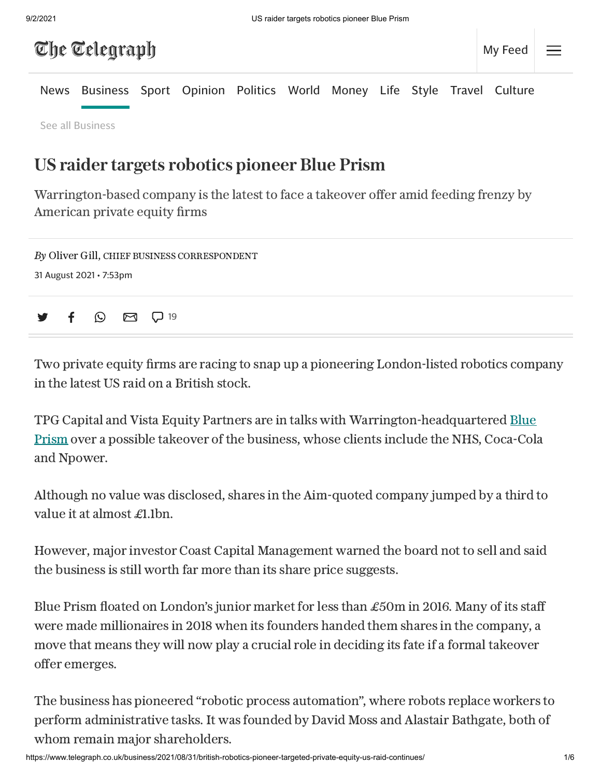## The Telegraph

[News](https://www.telegraph.co.uk/news/) [Business](https://www.telegraph.co.uk/business/) [Sport](https://www.telegraph.co.uk/sport/) [Opinion](https://www.telegraph.co.uk/opinion/) [Politics](https://www.telegraph.co.uk/politics/) [World](https://www.telegraph.co.uk/world-news/) [Money](https://www.telegraph.co.uk/money/) [Life](https://www.telegraph.co.uk/lifestyle/) [Style](https://www.telegraph.co.uk/style/) [Travel](https://www.telegraph.co.uk/travel/) [Culture](https://www.telegraph.co.uk/culture/)

See all [Business](https://www.telegraph.co.uk/all-sections#business)

## US raider targets robotics pioneer Blue Prism

Warrington-based company is the latest to face a takeover offer amid feeding frenzy by American private equity firms



Two private equity firms are racing to snap up a pioneering London-listed robotics company in the latest US raid on a British stock.

TPG Capital and Vista Equity Partners are in talks with [Warrington-headquartered](https://www.telegraph.co.uk/technology/2020/01/23/blue-prism-shares-surge-sign-robotic-workforce/) **Blue** Prism over a possible takeover of the business, whose clients include the NHS, Coca-Cola and Npower.

Although no value was disclosed, shares in the Aim-quoted company jumped by a third to value it at almost £1.1bn.

However, major investor Coast Capital Management warned the board not to sell and said the business is still worth far more than its share price suggests.

Blue Prism floated on London's junior market for less than £50m in 2016. Many of its staff were made millionaires in 2018 when its founders handed them shares in the company, a move that means they will now play a crucial role in deciding its fate if a formal takeover offer emerges.

The business has pioneered "robotic process automation", where robots replace workers to perform administrative tasks. It was founded by David Moss and Alastair Bathgate, both of whom remain major shareholders.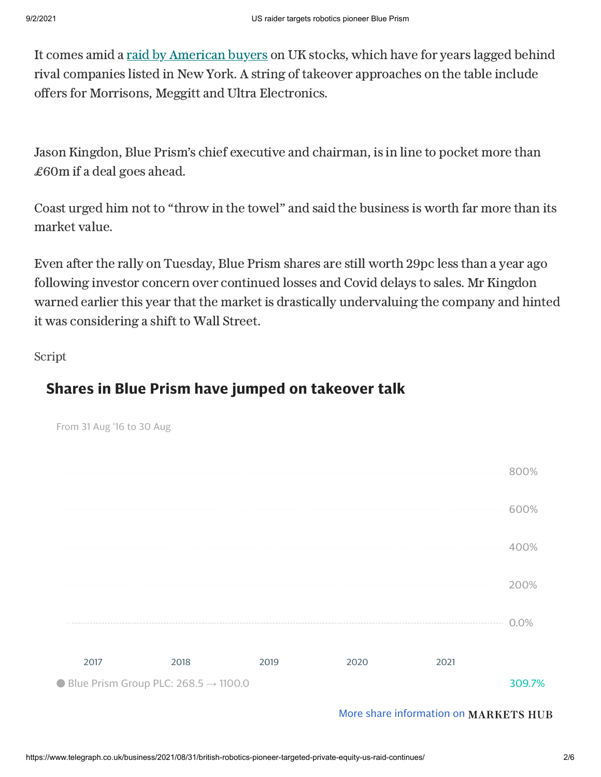It comes amid a raid by [American](https://www.telegraph.co.uk/business/2021/08/08/time-ftse-giants-start-crashing-takeover-party/) buyers on UK stocks, which have for years lagged behind rival companies listed in New York. A string of takeover approaches on the table include offers for Morrisons, Meggitt and Ultra Electronics.

Jason Kingdon, Blue Prism's chief executive and chairman, is in line to pocket more than £60m if a deal goes ahead.

Coast urged him not to "throw in the towel" and said the business is worth far more than its market value.

Even after the rally on Tuesday, Blue Prism shares are still worth 29pc less than a year ago following investor concern over continued losses and Covid delays to sales. Mr Kingdon warned earlier this year that the market is drastically undervaluing the company and hinted it was considering a shift to Wall Street.

Script

From 31 Aug '16 to 30 Aug

## **Shares in Blue Prism have jumped on takeover talk**



More share [information](https://www.telegraph.co.uk/markets-hub/) on MARKETS HUB